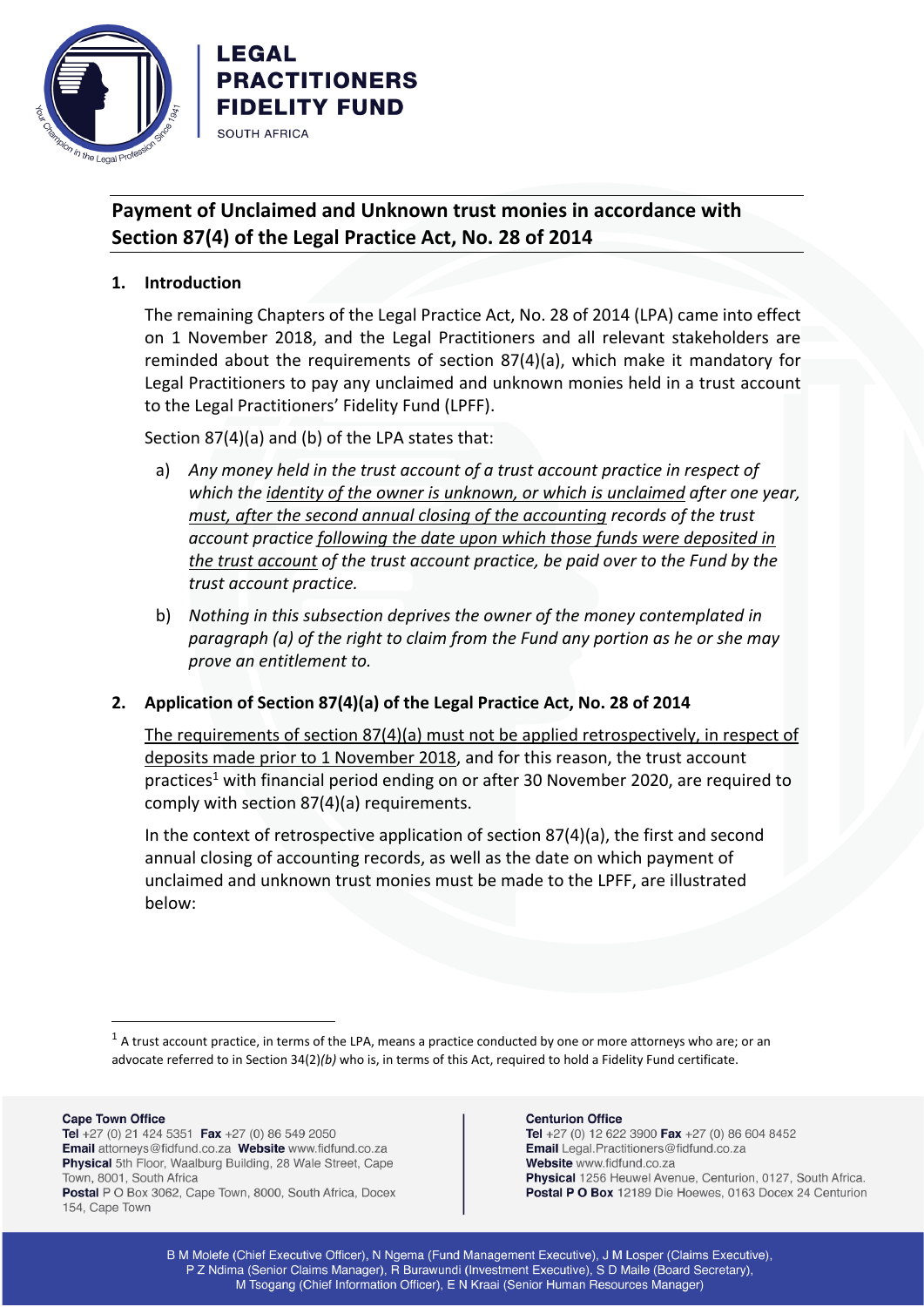

# **Payment of Unclaimed and Unknown trust monies in accordance with Section 87(4) of the Legal Practice Act, No. 28 of 2014**

**1. Introduction**

LEGAL

**SOUTH AFRICA** 

**PRACTITIONERS FIDELITY FUND** 

The remaining Chapters of the Legal Practice Act, No. 28 of 2014 (LPA) came into effect on 1 November 2018, and the Legal Practitioners and all relevant stakeholders are reminded about the requirements of section 87(4)(a), which make it mandatory for Legal Practitioners to pay any unclaimed and unknown monies held in a trust account to the Legal Practitioners' Fidelity Fund (LPFF).

Section 87(4)(a) and (b) of the LPA states that:

- a) *Any money held in the trust account of a trust account practice in respect of which the identity of the owner is unknown, or which is unclaimed after one year, must, after the second annual closing of the accounting records of the trust account practice following the date upon which those funds were deposited in the trust account of the trust account practice, be paid over to the Fund by the trust account practice.*
- b) *Nothing in this subsection deprives the owner of the money contemplated in paragraph (a) of the right to claim from the Fund any portion as he or she may prove an entitlement to.*

### **2. Application of Section 87(4)(a) of the Legal Practice Act, No. 28 of 2014**

The requirements of section 87(4)(a) must not be applied retrospectively, in respect of deposits made prior to 1 November 2018, and for this reason, the trust account practices<sup>1</sup> with financial period ending on or after 30 November 2020, are required to comply with section 87(4)(a) requirements.

In the context of retrospective application of section 87(4)(a), the first and second annual closing of accounting records, as well as the date on which payment of unclaimed and unknown trust monies must be made to the LPFF, are illustrated below:

 $<sup>1</sup>$  A trust account practice, in terms of the LPA, means a practice conducted by one or more attorneys who are; or an</sup> advocate referred to in Section 34(2)*(b)* who is, in terms of this Act, required to hold a Fidelity Fund certificate.

#### **Cape Town Office**

Tel +27 (0) 21 424 5351 Fax +27 (0) 86 549 2050 Email attorneys@fidfund.co.za Website www.fidfund.co.za Physical 5th Floor, Waalburg Building, 28 Wale Street, Cape Town, 8001, South Africa Postal P O Box 3062, Cape Town, 8000, South Africa, Docex 154, Cape Town

#### **Centurion Office**

Tel +27 (0) 12 622 3900 Fax +27 (0) 86 604 8452 Email Legal.Practitioners@fidfund.co.za Website www.fidfund.co.za Physical 1256 Heuwel Avenue, Centurion, 0127, South Africa. Postal P O Box 12189 Die Hoewes, 0163 Docex 24 Centurion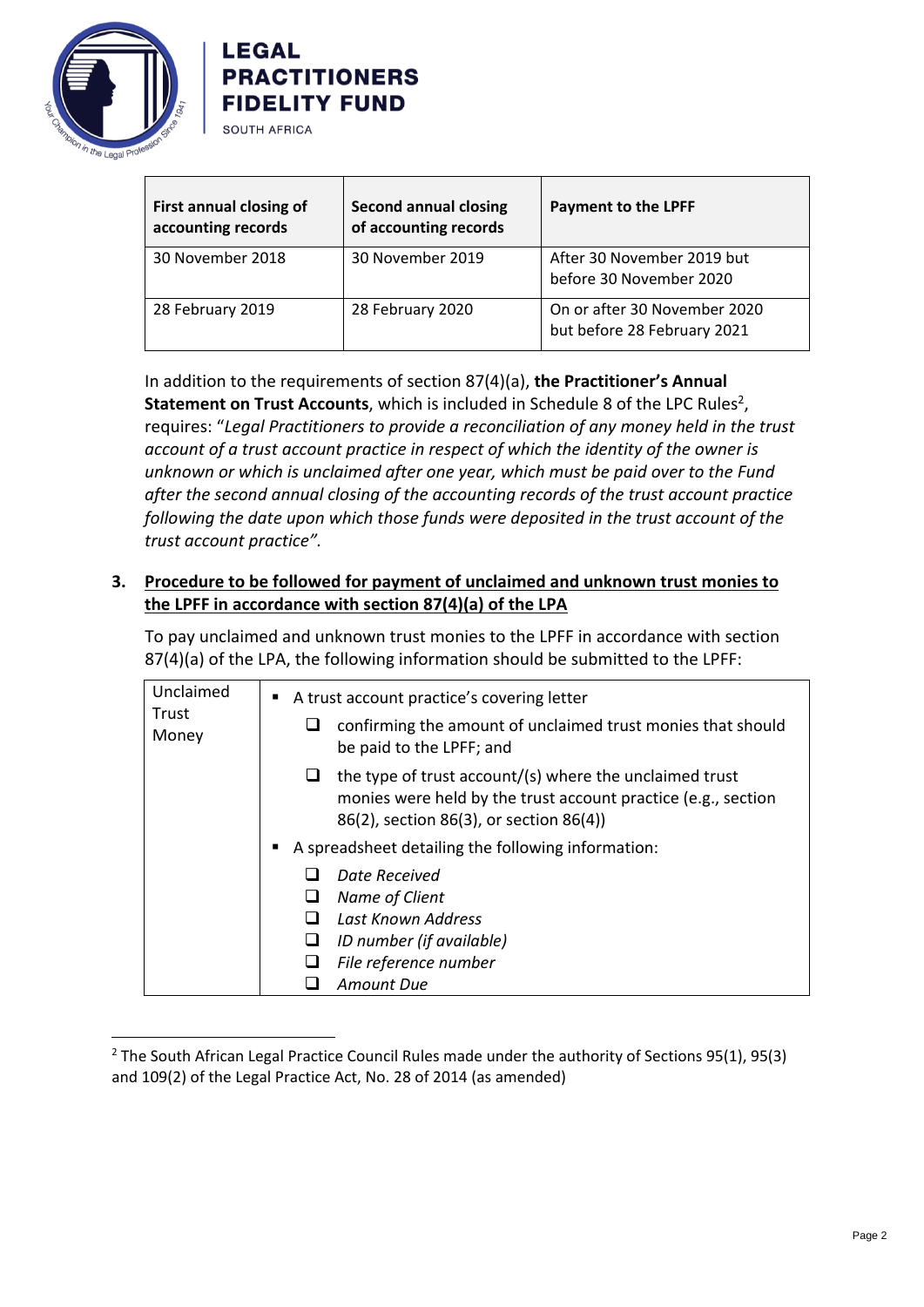



| First annual closing of<br>accounting records | <b>Second annual closing</b><br>of accounting records | <b>Payment to the LPFF</b>                                  |
|-----------------------------------------------|-------------------------------------------------------|-------------------------------------------------------------|
| 30 November 2018                              | 30 November 2019                                      | After 30 November 2019 but<br>before 30 November 2020       |
| 28 February 2019                              | 28 February 2020                                      | On or after 30 November 2020<br>but before 28 February 2021 |

In addition to the requirements of section 87(4)(a), **the Practitioner's Annual**  Statement on Trust Accounts, which is included in Schedule 8 of the LPC Rules<sup>2</sup>, requires: "*Legal Practitioners to provide a reconciliation of any money held in the trust account of a trust account practice in respect of which the identity of the owner is unknown or which is unclaimed after one year, which must be paid over to the Fund after the second annual closing of the accounting records of the trust account practice following the date upon which those funds were deposited in the trust account of the trust account practice".*

## **3. Procedure to be followed for payment of unclaimed and unknown trust monies to the LPFF in accordance with section 87(4)(a) of the LPA**

To pay unclaimed and unknown trust monies to the LPFF in accordance with section 87(4)(a) of the LPA, the following information should be submitted to the LPFF:

| Unclaimed      | A trust account practice's covering letter                                                                                                                          |  |
|----------------|---------------------------------------------------------------------------------------------------------------------------------------------------------------------|--|
| Trust<br>Money | confirming the amount of unclaimed trust monies that should<br>be paid to the LPFF; and                                                                             |  |
|                | the type of trust account/(s) where the unclaimed trust<br>monies were held by the trust account practice (e.g., section<br>86(2), section 86(3), or section 86(4)) |  |
|                | A spreadsheet detailing the following information:                                                                                                                  |  |
|                | Date Received<br>Name of Client<br>Last Known Address<br>ID number (if available)<br>File reference number<br>Amount Due                                            |  |

<sup>&</sup>lt;sup>2</sup> The South African Legal Practice Council Rules made under the authority of Sections 95(1), 95(3) and 109(2) of the Legal Practice Act, No. 28 of 2014 (as amended)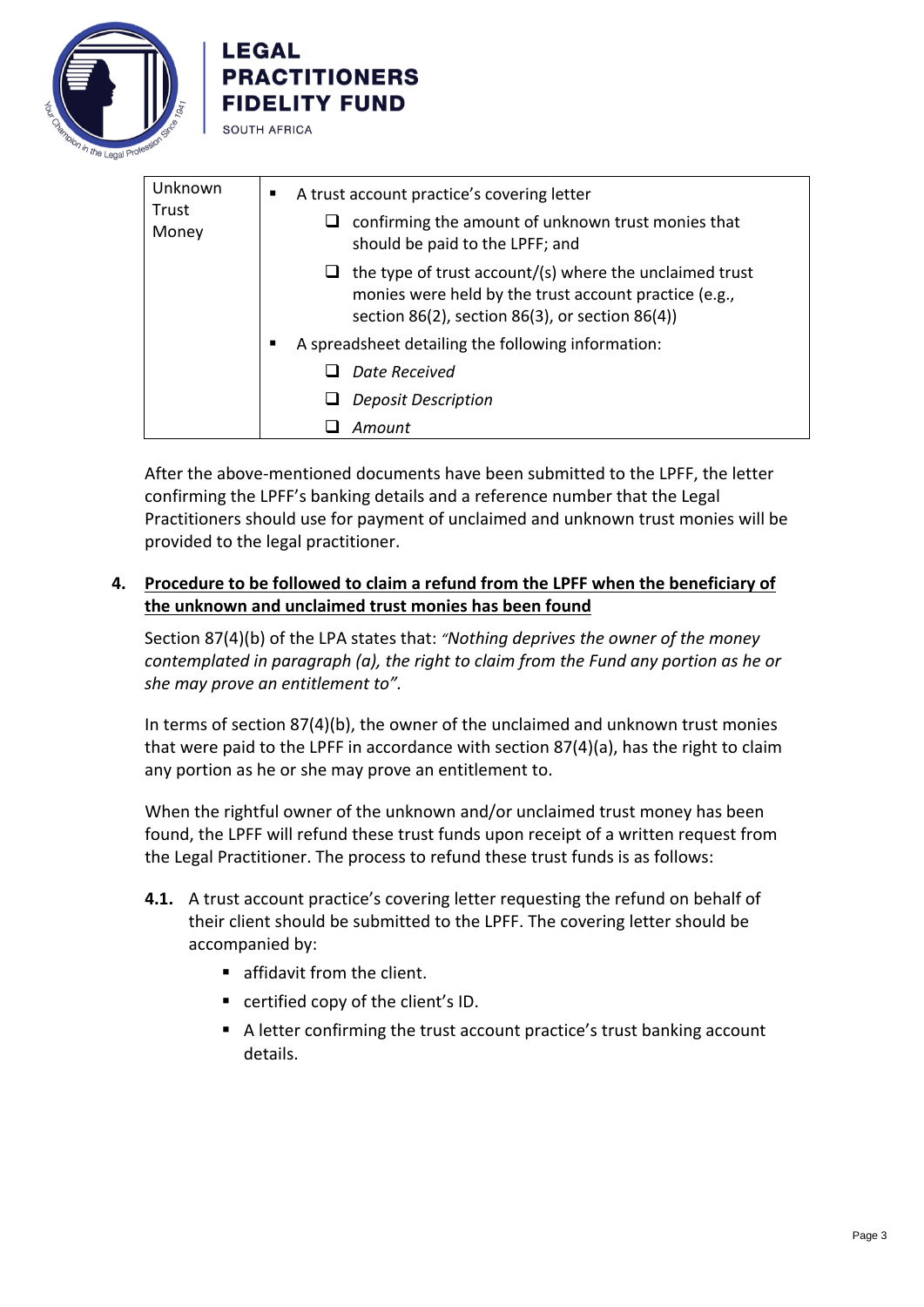

**LEGAL** 



After the above-mentioned documents have been submitted to the LPFF, the letter confirming the LPFF's banking details and a reference number that the Legal Practitioners should use for payment of unclaimed and unknown trust monies will be provided to the legal practitioner.

### **4. Procedure to be followed to claim a refund from the LPFF when the beneficiary of the unknown and unclaimed trust monies has been found**

❑ *Amount*

Section 87(4)(b) of the LPA states that: *"Nothing deprives the owner of the money contemplated in paragraph (a), the right to claim from the Fund any portion as he or she may prove an entitlement to".*

In terms of section 87(4)(b), the owner of the unclaimed and unknown trust monies that were paid to the LPFF in accordance with section 87(4)(a), has the right to claim any portion as he or she may prove an entitlement to.

When the rightful owner of the unknown and/or unclaimed trust money has been found, the LPFF will refund these trust funds upon receipt of a written request from the Legal Practitioner. The process to refund these trust funds is as follows:

- **4.1.** A trust account practice's covering letter requesting the refund on behalf of their client should be submitted to the LPFF. The covering letter should be accompanied by:
	- **E** affidavit from the client.
	- certified copy of the client's ID.
	- A letter confirming the trust account practice's trust banking account details.